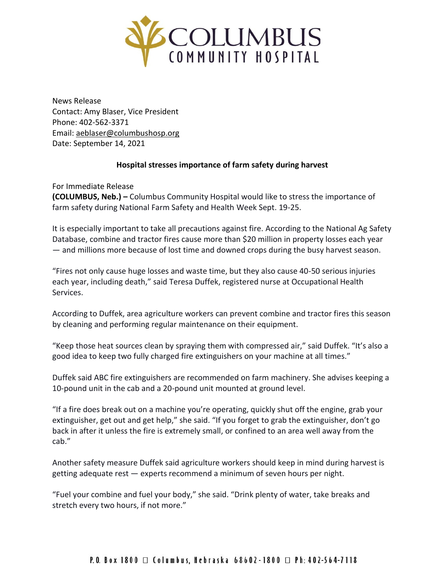

News Release Contact: Amy Blaser, Vice President Phone: 402-562-3371 Email: [aeblaser@columbushosp.org](mailto:aeblaser@columbushosp.org) Date: September 14, 2021

## **Hospital stresses importance of farm safety during harvest**

For Immediate Release **(COLUMBUS, Neb.) –** Columbus Community Hospital would like to stress the importance of farm safety during National Farm Safety and Health Week Sept. 19-25.

It is especially important to take all precautions against fire. According to the National Ag Safety Database, combine and tractor fires cause more than \$20 million in property losses each year — and millions more because of lost time and downed crops during the busy harvest season.

"Fires not only cause huge losses and waste time, but they also cause 40-50 serious injuries each year, including death," said Teresa Duffek, registered nurse at Occupational Health Services.

According to Duffek, area agriculture workers can prevent combine and tractor fires this season by cleaning and performing regular maintenance on their equipment.

"Keep those heat sources clean by spraying them with compressed air," said Duffek. "It's also a good idea to keep two fully charged fire extinguishers on your machine at all times."

Duffek said ABC fire extinguishers are recommended on farm machinery. She advises keeping a 10-pound unit in the cab and a 20-pound unit mounted at ground level.

"If a fire does break out on a machine you're operating, quickly shut off the engine, grab your extinguisher, get out and get help," she said. "If you forget to grab the extinguisher, don't go back in after it unless the fire is extremely small, or confined to an area well away from the cab."

Another safety measure Duffek said agriculture workers should keep in mind during harvest is getting adequate rest — experts recommend a minimum of seven hours per night.

"Fuel your combine and fuel your body," she said. "Drink plenty of water, take breaks and stretch every two hours, if not more."